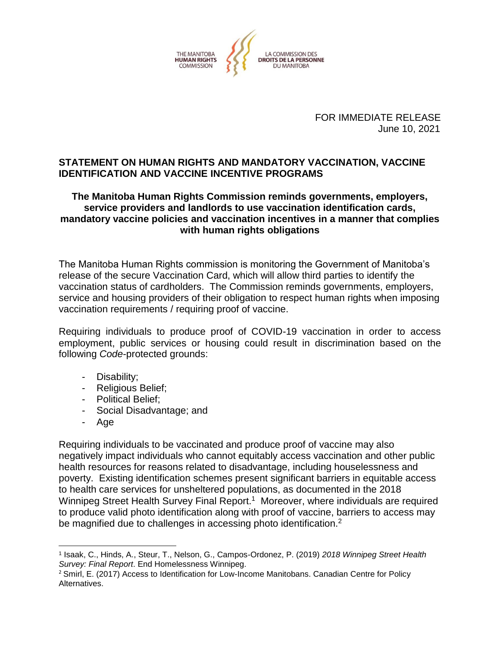

FOR IMMEDIATE RELEASE June 10, 2021

#### **STATEMENT ON HUMAN RIGHTS AND MANDATORY VACCINATION, VACCINE IDENTIFICATION AND VACCINE INCENTIVE PROGRAMS**

#### **The Manitoba Human Rights Commission reminds governments, employers, service providers and landlords to use vaccination identification cards, mandatory vaccine policies and vaccination incentives in a manner that complies with human rights obligations**

The Manitoba Human Rights commission is monitoring the Government of Manitoba's release of the secure Vaccination Card, which will allow third parties to identify the vaccination status of cardholders. The Commission reminds governments, employers, service and housing providers of their obligation to respect human rights when imposing vaccination requirements / requiring proof of vaccine.

Requiring individuals to produce proof of COVID-19 vaccination in order to access employment, public services or housing could result in discrimination based on the following *Code*-protected grounds:

- Disability;
- Religious Belief;
- Political Belief;
- Social Disadvantage; and
- Age

 $\overline{a}$ 

Requiring individuals to be vaccinated and produce proof of vaccine may also negatively impact individuals who cannot equitably access vaccination and other public health resources for reasons related to disadvantage, including houselessness and poverty. Existing identification schemes present significant barriers in equitable access to health care services for unsheltered populations, as documented in the 2018 Winnipeg Street Health Survey Final Report.<sup>1</sup> Moreover, where individuals are required to produce valid photo identification along with proof of vaccine, barriers to access may be magnified due to challenges in accessing photo identification.<sup>2</sup>

<sup>1</sup> Isaak, C., Hinds, A., Steur, T., Nelson, G., Campos-Ordonez, P. (2019) *2018 Winnipeg Street Health Survey: Final Report*. End Homelessness Winnipeg.

<sup>&</sup>lt;sup>2</sup> Smirl, E. (2017) Access to Identification for Low-Income Manitobans. Canadian Centre for Policy Alternatives.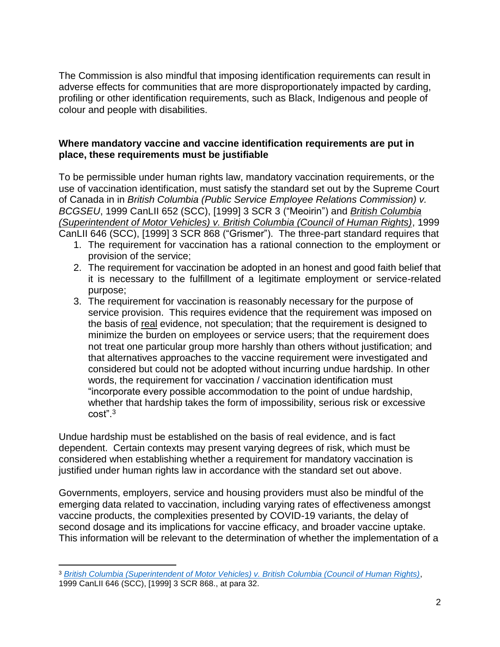The Commission is also mindful that imposing identification requirements can result in adverse effects for communities that are more disproportionately impacted by carding, profiling or other identification requirements, such as Black, Indigenous and people of colour and people with disabilities.

### **Where mandatory vaccine and vaccine identification requirements are put in place, these requirements must be justifiable**

To be permissible under human rights law, mandatory vaccination requirements, or the use of vaccination identification, must satisfy the standard set out by the Supreme Court of Canada in in *British Columbia (Public Service Employee Relations Commission) v. BCGSEU*, 1999 CanLII 652 (SCC), [1999] 3 SCR 3 ("Meoirin") and *[British Columbia](https://www.canlii.org/en/ca/scc/doc/1999/1999canlii646/1999canlii646.html?searchUrlHash=AAAAAQAHZ3Jpc21lcgAAAAAB&resultIndex=4)  [\(Superintendent of Motor Vehicles\) v. British Columbia \(Council of Human Rights\)](https://www.canlii.org/en/ca/scc/doc/1999/1999canlii646/1999canlii646.html?searchUrlHash=AAAAAQAHZ3Jpc21lcgAAAAAB&resultIndex=4)*, 1999

CanLII 646 (SCC), [1999] 3 SCR 868 ("Grismer"). The three-part standard requires that

- 1. The requirement for vaccination has a rational connection to the employment or provision of the service;
- 2. The requirement for vaccination be adopted in an honest and good faith belief that it is necessary to the fulfillment of a legitimate employment or service-related purpose;
- 3. The requirement for vaccination is reasonably necessary for the purpose of service provision. This requires evidence that the requirement was imposed on the basis of real evidence, not speculation; that the requirement is designed to minimize the burden on employees or service users; that the requirement does not treat one particular group more harshly than others without justification; and that alternatives approaches to the vaccine requirement were investigated and considered but could not be adopted without incurring undue hardship. In other words, the requirement for vaccination / vaccination identification must "incorporate every possible accommodation to the point of undue hardship, whether that hardship takes the form of impossibility, serious risk or excessive cost".<sup>3</sup>

Undue hardship must be established on the basis of real evidence, and is fact dependent. Certain contexts may present varying degrees of risk, which must be considered when establishing whether a requirement for mandatory vaccination is justified under human rights law in accordance with the standard set out above.

Governments, employers, service and housing providers must also be mindful of the emerging data related to vaccination, including varying rates of effectiveness amongst vaccine products, the complexities presented by COVID-19 variants, the delay of second dosage and its implications for vaccine efficacy, and broader vaccine uptake. This information will be relevant to the determination of whether the implementation of a

 $\overline{a}$ 

<sup>3</sup> *[British Columbia \(Superintendent of Motor Vehicles\) v. British Columbia \(Council of Human Rights\)](https://www.canlii.org/en/ca/scc/doc/1999/1999canlii646/1999canlii646.html?searchUrlHash=AAAAAQAHZ3Jpc21lcgAAAAAB&resultIndex=4)*, 1999 CanLII 646 (SCC), [1999] 3 SCR 868., at para 32.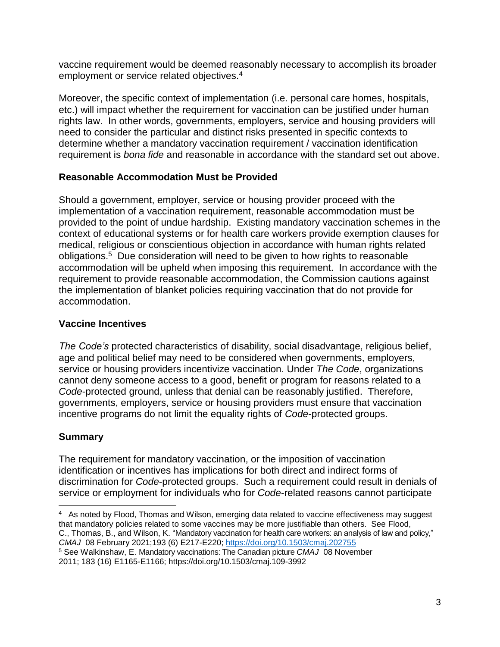vaccine requirement would be deemed reasonably necessary to accomplish its broader employment or service related objectives.<sup>4</sup>

Moreover, the specific context of implementation (i.e. personal care homes, hospitals, etc.) will impact whether the requirement for vaccination can be justified under human rights law. In other words, governments, employers, service and housing providers will need to consider the particular and distinct risks presented in specific contexts to determine whether a mandatory vaccination requirement / vaccination identification requirement is *bona fide* and reasonable in accordance with the standard set out above.

## **Reasonable Accommodation Must be Provided**

Should a government, employer, service or housing provider proceed with the implementation of a vaccination requirement, reasonable accommodation must be provided to the point of undue hardship. Existing mandatory vaccination schemes in the context of educational systems or for health care workers provide exemption clauses for medical, religious or conscientious objection in accordance with human rights related obligations.<sup>5</sup> Due consideration will need to be given to how rights to reasonable accommodation will be upheld when imposing this requirement. In accordance with the requirement to provide reasonable accommodation, the Commission cautions against the implementation of blanket policies requiring vaccination that do not provide for accommodation.

## **Vaccine Incentives**

*The Code's* protected characteristics of disability, social disadvantage, religious belief, age and political belief may need to be considered when governments, employers, service or housing providers incentivize vaccination. Under *The Code*, organizations cannot deny someone access to a good, benefit or program for reasons related to a *Code*-protected ground, unless that denial can be reasonably justified. Therefore, governments, employers, service or housing providers must ensure that vaccination incentive programs do not limit the equality rights of *Code*-protected groups.

# **Summary**

The requirement for mandatory vaccination, or the imposition of vaccination identification or incentives has implications for both direct and indirect forms of discrimination for *Code*-protected groups. Such a requirement could result in denials of service or employment for individuals who for *Code*-related reasons cannot participate

 $\overline{\phantom{a}}$ 4 As noted by Flood, Thomas and Wilson, emerging data related to vaccine effectiveness may suggest that mandatory policies related to some vaccines may be more justifiable than others. See Flood, C., Thomas, B., and Wilson, K. "Mandatory vaccination for health care workers: an analysis of law and policy," *CMAJ* 08 February 2021;193 (6) E217-E220; <https://doi.org/10.1503/cmaj.202755>

<sup>5</sup> See Walkinshaw, E. Mandatory vaccinations: The Canadian picture *CMAJ* 08 November 2011; 183 (16) E1165-E1166; https://doi.org/10.1503/cmaj.109-3992